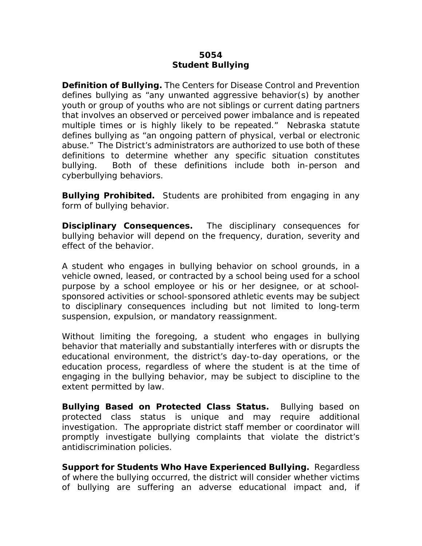## **5054 Student Bullying**

**Definition of Bullying.** The Centers for Disease Control and Prevention defines bullying as "any unwanted aggressive behavior(s) by another youth or group of youths who are not siblings or current dating partners that involves an observed or perceived power imbalance and is repeated multiple times or is highly likely to be repeated." Nebraska statute defines bullying as "an ongoing pattern of physical, verbal or electronic abuse." The District's administrators are authorized to use both of these definitions to determine whether any specific situation constitutes bullying. Both of these definitions include both in-person and cyberbullying behaviors.

**Bullying Prohibited.** Students are prohibited from engaging in any form of bullying behavior.

**Disciplinary Consequences.** The disciplinary consequences for bullying behavior will depend on the frequency, duration, severity and effect of the behavior.

A student who engages in bullying behavior on school grounds, in a vehicle owned, leased, or contracted by a school being used for a school purpose by a school employee or his or her designee, or at schoolsponsored activities or school-sponsored athletic events may be subject to disciplinary consequences including but not limited to long-term suspension, expulsion, or mandatory reassignment.

Without limiting the foregoing, a student who engages in bullying behavior that materially and substantially interferes with or disrupts the educational environment, the district's day-to-day operations, or the education process, regardless of where the student is at the time of engaging in the bullying behavior, may be subject to discipline to the extent permitted by law.

**Bullying Based on Protected Class Status.** Bullying based on protected class status is unique and may require additional investigation. The appropriate district staff member or coordinator will promptly investigate bullying complaints that violate the district's antidiscrimination policies.

**Support for Students Who Have Experienced Bullying.** Regardless of where the bullying occurred, the district will consider whether victims of bullying are suffering an adverse educational impact and, if